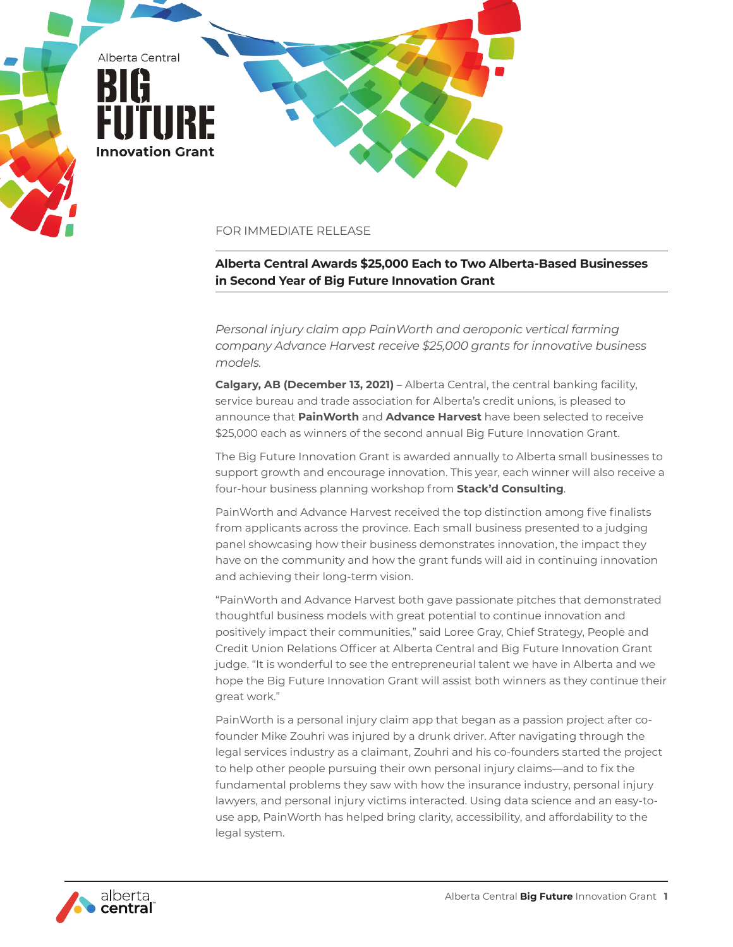

## FOR IMMEDIATE RELEASE

## **Alberta Central Awards \$25,000 Each to Two Alberta-Based Businesses in Second Year of Big Future Innovation Grant**

*Personal injury claim app PainWorth and aeroponic vertical farming company Advance Harvest receive \$25,000 grants for innovative business models.*

**Calgary, AB (December 13, 2021)** – Alberta Central, the central banking facility, service bureau and trade association for Alberta's credit unions, is pleased to announce that **[PainWorth](https://painworth.com/)** and **[Advance Harvest](https://www.aerorganics.ca/)** have been selected to receive \$25,000 each as winners of the second annual Big Future Innovation Grant.

The Big Future Innovation Grant is awarded annually to Alberta small businesses to support growth and encourage innovation. This year, each winner will also receive a four-hour business planning workshop from **[Stack'd Consulting](https://stackdconsulting.com/)**.

PainWorth and Advance Harvest received the top distinction among five finalists from applicants across the province. Each small business presented to a judging panel showcasing how their business demonstrates innovation, the impact they have on the community and how the grant funds will aid in continuing innovation and achieving their long-term vision.

"PainWorth and Advance Harvest both gave passionate pitches that demonstrated thoughtful business models with great potential to continue innovation and positively impact their communities," said Loree Gray, Chief Strategy, People and Credit Union Relations Officer at Alberta Central and Big Future Innovation Grant judge. "It is wonderful to see the entrepreneurial talent we have in Alberta and we hope the Big Future Innovation Grant will assist both winners as they continue their great work."

PainWorth is a personal injury claim app that began as a passion project after cofounder Mike Zouhri was injured by a drunk driver. After navigating through the legal services industry as a claimant, Zouhri and his co-founders started the project to help other people pursuing their own personal injury claims—and to fix the fundamental problems they saw with how the insurance industry, personal injury lawyers, and personal injury victims interacted. Using data science and an easy-touse app, PainWorth has helped bring clarity, accessibility, and affordability to the legal system.